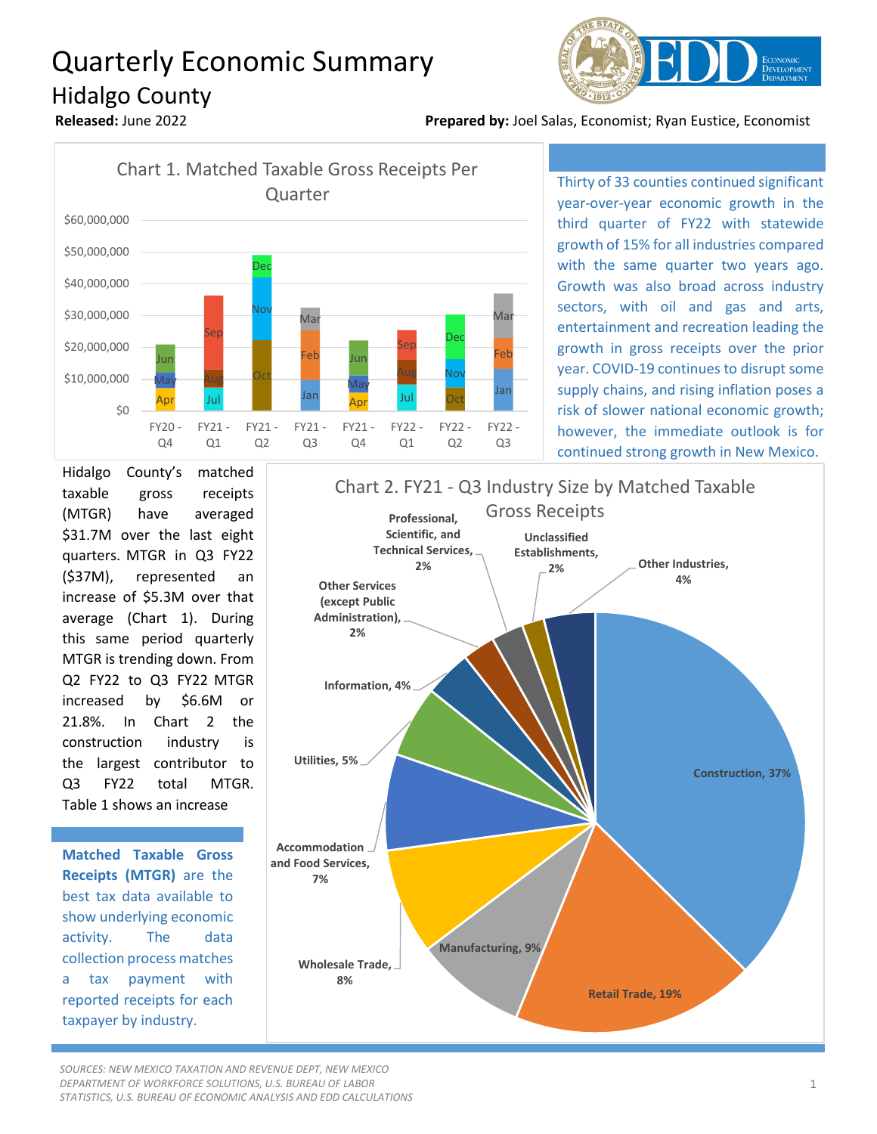## Quarterly Economic Summary Hidalgo County



**Released:** June 2022 **Prepared by:** Joel Salas, Economist; Ryan Eustice, Economist



Thirty of 33 counties continued significant year-over-year economic growth in the third quarter of FY22 with statewide growth of 15% for all industries compared with the same quarter two years ago. Growth was also broad across industry sectors, with oil and gas and arts, entertainment and recreation leading the growth in gross receipts over the prior year. COVID-19 continues to disrupt some supply chains, and rising inflation poses a risk of slower national economic growth; however, the immediate outlook is for continued strong growth in New Mexico.

Hidalgo County's matched taxable gross receipts (MTGR) have averaged \$31.7M over the last eight quarters. MTGR in Q3 FY22 (\$37M), represented an increase of \$5.3M over that average (Chart 1). During this same period quarterly MTGR is trending down. From Q2 FY22 to Q3 FY22 MTGR increased by \$6.6M or 21.8%. In Chart 2 the construction industry is the largest contributor to Q3 FY22 total MTGR. Table 1 shows an increase

**Matched Taxable Gross Receipts (MTGR)** are the best tax data available to show underlying economic activity. The data collection process matches a tax payment with reported receipts for each taxpayer by industry.



*SOURCES: NEW MEXICO TAXATION AND REVENUE DEPT, NEW MEXICO DEPARTMENT OF WORKFORCE SOLUTIONS, U.S. BUREAU OF LABOR STATISTICS, U.S. BUREAU OF ECONOMIC ANALYSIS AND EDD CALCULATIONS*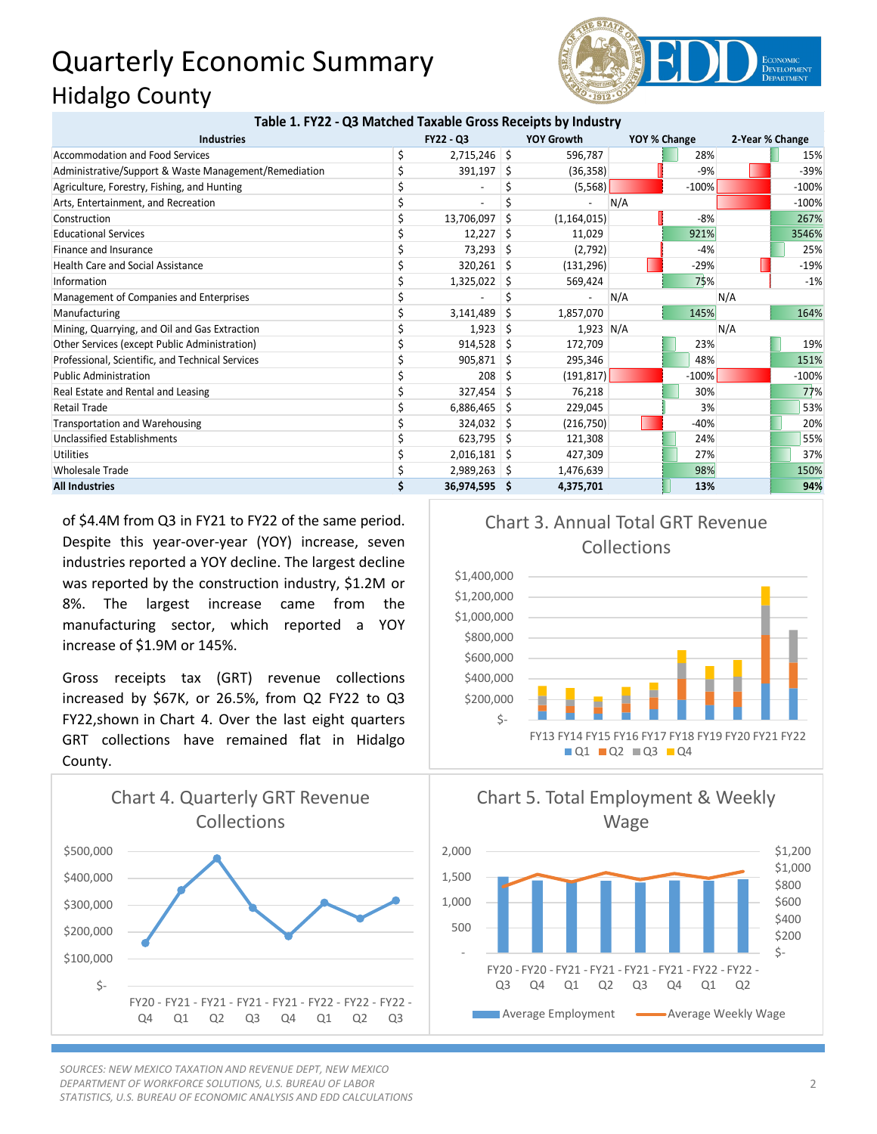## Quarterly Economic Summary Hidalgo County



|  | Table 1. FY22 - Q3 Matched Taxable Gross Receipts by Industry |  |  |
|--|---------------------------------------------------------------|--|--|
|--|---------------------------------------------------------------|--|--|

| <b>Industries</b>                                     |  | <b>FY22 - Q3</b> |    | <b>YOY Growth</b> | YOY % Change |         | 2-Year % Change |         |
|-------------------------------------------------------|--|------------------|----|-------------------|--------------|---------|-----------------|---------|
| <b>Accommodation and Food Services</b>                |  | 2,715,246        | Ŝ  | 596,787           |              | 28%     |                 | 15%     |
| Administrative/Support & Waste Management/Remediation |  | 391,197          | S  | (36, 358)         |              | $-9%$   |                 | $-39%$  |
| Agriculture, Forestry, Fishing, and Hunting           |  |                  |    | (5,568)           |              | $-100%$ |                 | $-100%$ |
| Arts, Entertainment, and Recreation                   |  |                  |    |                   | N/A          |         |                 | $-100%$ |
| Construction                                          |  | 13,706,097       | S  | (1, 164, 015)     |              | $-8%$   |                 | 267%    |
| <b>Educational Services</b>                           |  | 12,227           | -S | 11,029            |              | 921%    |                 | 3546%   |
| Finance and Insurance                                 |  | 73,293           | -S | (2,792)           |              | $-4%$   |                 | 25%     |
| <b>Health Care and Social Assistance</b>              |  | $320,261$ \$     |    | (131, 296)        |              | $-29%$  |                 | $-19%$  |
| Information                                           |  | 1,325,022        | -S | 569,424           |              | 75%     |                 | $-1%$   |
| Management of Companies and Enterprises               |  |                  |    |                   | N/A          |         | N/A             |         |
| Manufacturing                                         |  | 3,141,489        | S  | 1,857,070         |              | 145%    |                 | 164%    |
| Mining, Quarrying, and Oil and Gas Extraction         |  | 1,923            | S  | $1,923$ N/A       |              |         | N/A             |         |
| Other Services (except Public Administration)         |  | 914,528          | Ŝ  | 172,709           |              | 23%     |                 | 19%     |
| Professional, Scientific, and Technical Services      |  | 905,871 \$       |    | 295,346           |              | 48%     |                 | 151%    |
| <b>Public Administration</b>                          |  | 208              | S  | (191, 817)        |              | $-100%$ |                 | $-100%$ |
| Real Estate and Rental and Leasing                    |  | 327,454          | -S | 76,218            |              | 30%     |                 | 77%     |
| <b>Retail Trade</b>                                   |  | 6,886,465        | S  | 229,045           |              | 3%      |                 | 53%     |
| Transportation and Warehousing                        |  | $324,032$ \$     |    | (216, 750)        |              | $-40%$  |                 | 20%     |
| Unclassified Establishments                           |  | 623,795          | -S | 121,308           |              | 24%     |                 | 55%     |
| <b>Utilities</b>                                      |  | $2,016,181$ \$   |    | 427,309           |              | 27%     |                 | 37%     |
| <b>Wholesale Trade</b>                                |  | $2,989,263$ \$   |    | 1,476,639         |              | 98%     |                 | 150%    |
| <b>All Industries</b>                                 |  | 36,974,595 \$    |    | 4,375,701         |              | 13%     |                 | 94%     |

of \$4.4M from Q3 in FY21 to FY22 of the same period. Despite this year-over-year (YOY) increase, seven industries reported a YOY decline. The largest decline was reported by the construction industry, \$1.2M or 8%. The largest increase came from the manufacturing sector, which reported a YOY increase of \$1.9M or 145%.

Gross receipts tax (GRT) revenue collections increased by \$67K, or 26.5%, from Q2 FY22 to Q3 FY22,shown in Chart 4. Over the last eight quarters GRT collections have remained flat in Hidalgo County.



*SOURCES: NEW MEXICO TAXATION AND REVENUE DEPT, NEW MEXICO DEPARTMENT OF WORKFORCE SOLUTIONS, U.S. BUREAU OF LABOR STATISTICS, U.S. BUREAU OF ECONOMIC ANALYSIS AND EDD CALCULATIONS*